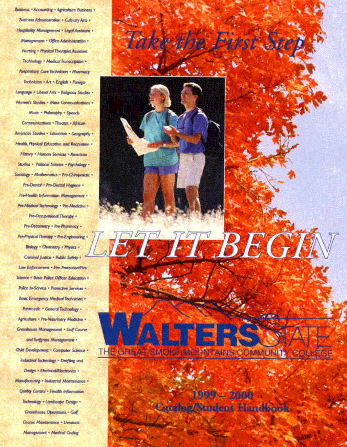Basiness - Accounting - Agriculture Business -Business Administration + Culinary Arts + Hospitality Monogement . Legal Assistant . Management · Office Administration » **Nursing . Physical Theraped Assistant** Technology . Medical Transcription . Respiratory Care Technician . Pharmacy Technician - Art - English - Foreign Longuage - Liberal Arts - Religious Studies -Women's Studies . Mass Communications . Music - Philosophy - Speech Communications . Theoree . African-American Studies - Education - Geography -Health, Physical Education and Recreation . History - Human Services - American Studies . Political Science - Psychology -Sociology - Mathematics - Pre-Chiroproctic + Pre-Dental - Pre-Dental Hygiene -Pre-Health Information Management . Pre-Medical Technology . Pre-Medicine . Pre-Occupational Theraty -Pre-Optainatry + Pro-Pharmacy + Pre-Physical Therapy - Pre-Engineering -Biology . Chemistry . Physics . Criminal Justice - Public Safety + Law Enforcement - Fire Protection/Fire Science + Basic Palice Officer Education + Police In-Service . Protective Services . Basic Emergency Medical Technician -Parametic - General Technology -Agriculture . Pre-Veterinary Medicine . Greenhouse Management - Golf Course and furfyrous Management -Child Development . Computer Science . Industrial Technology + Drafting and Design \* Electrical/Electronics \* Manufacturing - Industrial Maintenance -Quality Control - Health Information Technology - Landscape Design -Greenhouse Operations - Golf. Course Mointenance - Livestock

Management . Medical Codety



1999 - 2000 Catalen/Sandent Handonok

THE GREAT SMOTO MMODIAL COMMUNITY COURSGE

**JERS:X**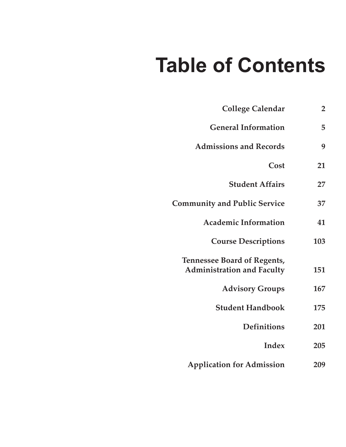# **Table of Contents**

| <b>College Calendar</b>                                                 | 2   |
|-------------------------------------------------------------------------|-----|
| <b>General Information</b>                                              | 5   |
| <b>Admissions and Records</b>                                           | 9   |
| Cost                                                                    | 21  |
| <b>Student Affairs</b>                                                  | 27  |
| <b>Community and Public Service</b>                                     | 37  |
| <b>Academic Information</b>                                             | 41  |
| <b>Course Descriptions</b>                                              | 103 |
| <b>Tennessee Board of Regents,</b><br><b>Administration and Faculty</b> | 151 |
| <b>Advisory Groups</b>                                                  | 167 |
| <b>Student Handbook</b>                                                 | 175 |
| <b>Definitions</b>                                                      | 201 |
| Index                                                                   | 205 |
| <b>Application for Admission</b>                                        | 209 |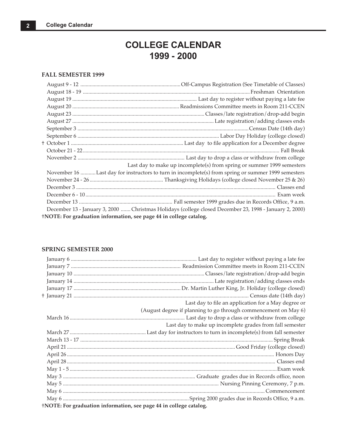### **COLLEGE CALENDAR 1999 - 2000**

#### <span id="page-2-0"></span>**FALL SEMESTER 1999**

|                                                                    | Last day to make up incomplete(s) from spring or summer 1999 semesters                                 |
|--------------------------------------------------------------------|--------------------------------------------------------------------------------------------------------|
|                                                                    | November 16 Last day for instructors to turn in incomplete(s) from spring or summer 1999 semesters     |
|                                                                    |                                                                                                        |
|                                                                    |                                                                                                        |
|                                                                    |                                                                                                        |
|                                                                    |                                                                                                        |
|                                                                    | December 13 - January 3, 2000  Christmas Holidays (college closed December 23, 1998 - January 2, 2000) |
| †NOTE: For graduation information, see page 44 in college catalog. |                                                                                                        |

#### **SPRING SEMESTER 2000**

|                                                                    | Last day to file an application for a May degree or             |  |
|--------------------------------------------------------------------|-----------------------------------------------------------------|--|
|                                                                    | (August degree if planning to go through commencement on May 6) |  |
|                                                                    |                                                                 |  |
|                                                                    | Last day to make up incomplete grades from fall semester        |  |
|                                                                    |                                                                 |  |
|                                                                    |                                                                 |  |
|                                                                    |                                                                 |  |
|                                                                    |                                                                 |  |
|                                                                    |                                                                 |  |
|                                                                    |                                                                 |  |
|                                                                    |                                                                 |  |
|                                                                    |                                                                 |  |
|                                                                    |                                                                 |  |
|                                                                    |                                                                 |  |
| †NOTE: For graduation information, see page 44 in college catalog. |                                                                 |  |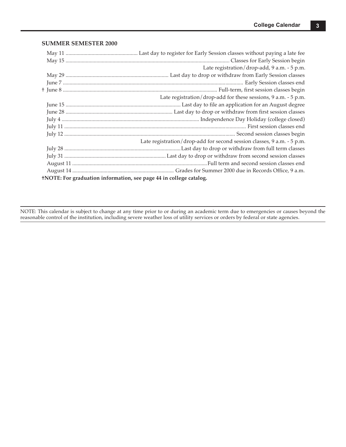#### **SUMMER SEMESTER 2000**

|                                                                    | Late registration/drop-add, 9 a.m. - 5 p.m.                            |  |
|--------------------------------------------------------------------|------------------------------------------------------------------------|--|
|                                                                    |                                                                        |  |
|                                                                    |                                                                        |  |
|                                                                    |                                                                        |  |
|                                                                    | Late registration/drop-add for these sessions, 9 a.m. - 5 p.m.         |  |
|                                                                    |                                                                        |  |
|                                                                    |                                                                        |  |
|                                                                    |                                                                        |  |
|                                                                    |                                                                        |  |
|                                                                    |                                                                        |  |
|                                                                    | Late registration/drop-add for second session classes, 9 a.m. - 5 p.m. |  |
|                                                                    |                                                                        |  |
|                                                                    |                                                                        |  |
|                                                                    |                                                                        |  |
|                                                                    |                                                                        |  |
| +NOTE: For graduation information, see page 44 in college catalog. |                                                                        |  |

NOTE: This calendar is subject to change at any time prior to or during an academic term due to emergencies or causes beyond the reasonable control of the institution, including severe weather loss of utility services or orders by federal or state agencies.